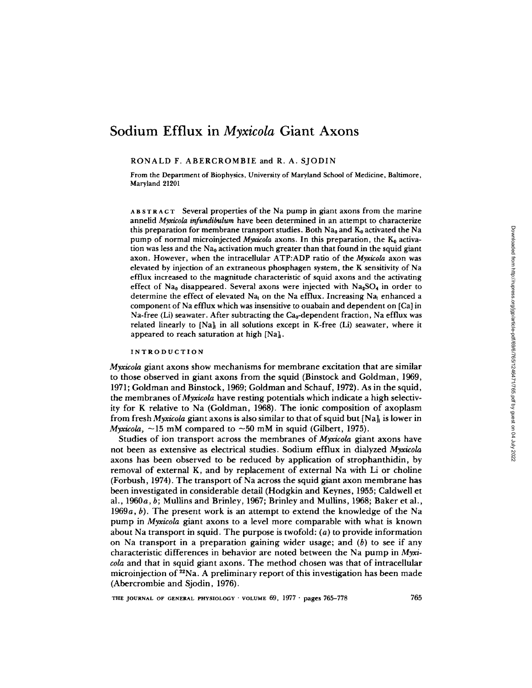# **Sodium Efflux in** *Myxicola* **Giant Axons**

RONALD F. ABERCROMBIE and R. A. SJODIN

From the Department of Biophysics, University of Maryland School of Medicine, Baltimore, Maryland 21201

AB STRACT Several properties of the Na pump in giant axons from the marine annelid *Myxicola infundibulura* have been determined in an attempt to characterize this preparation for membrane transport studies. Both  $Na<sub>0</sub>$  and  $K<sub>0</sub>$  activated the Na pump of normal microinjected *Myxicola* axons. In this preparation, the K<sub>0</sub> activation was less and the  $Na<sub>0</sub>$  activation much greater than that found in the squid giant axon. However, when the intracellular ATP:ADP ratio of the *Myxicola* axon was elevated by injection of an extraneous phosphagen system, the K sensitivity of Na efflux increased to the magnitude characteristic of squid axons and the activating effect of Na<sub>0</sub> disappeared. Several axons were injected with Na<sub>2</sub>SO<sub>4</sub> in order to determine the effect of elevated Na<sub>i</sub> on the Na efflux. Increasing Na<sub>i</sub> enhanced a component of Na efflux which was insensitive to ouabain and dependent on [Ca] in Na-free (Li) seawater. After subtracting the  $Ca_0$ -dependent fraction, Na efflux was related linearly to  $[Na]$  in all solutions except in K-free (Li) seawater, where it appeared to reach saturation at high  $[Na]_t$ .

## INTRODUCTION

*Myxicola* giant axons show mechanisms for membrane excitation that are similar to those observed in giant axons from the squid (Binstock and Goldman, 1969, 1971; Goldman and Binstock, 1969; Goldman and Schauf, 1972). As in the squid, the membranes *of Myxicola* have resting potentials which indicate a high selectivity for K relative to Na (Goldman, 1968). The ionic composition of axoplasm from fresh *Myxicola* giant axons is also similar to that of squid but [Na]<sub>i</sub> is lower in *Myxicola,*  $\sim$ 15 mM compared to  $\sim$ 50 mM in squid (Gilbert, 1975).

Studies of ion transport across the membranes of *Myxicola* giant axons have not been as extensive as electrical studies. Sodium efflux in dialyzed *Myxicola*  axons has been observed to be reduced by application of strophanthidin, by removal of external K, and by replacement of external Na with Li or choline (Forbush, 1974). The transport of Na across the squid giant axon membrane has been investigated in considerable detail (Hodgkin and Keynes, 1955; Caldwell et al., 1960a, b; Mullins and Brinley, 1967; Brinley and Mullins, 1968; Baker et al., 1969 $a, b$ ). The present work is an attempt to extend the knowledge of the Na pump in *Myxicola* giant axons to a level more comparable with what is known about Na transport in squid. The purpose is twofold:  $(a)$  to provide information on Na transport in a preparation gaining wider usage; and  $(b)$  to see if any characteristic differences in behavior are noted between the Na pump in *Myxicola* and that in squid giant axons. The method chosen was that of intracellular microinjection of  $^{22}Na$ . A preliminary report of this investigation has been made (Abercrombie and Sjodin, 1976).

THE JOURNAL OF GENERAL PHYSIOLOGY  $\cdot$  VOLUME 69, 1977  $\cdot$  pages 765-778 765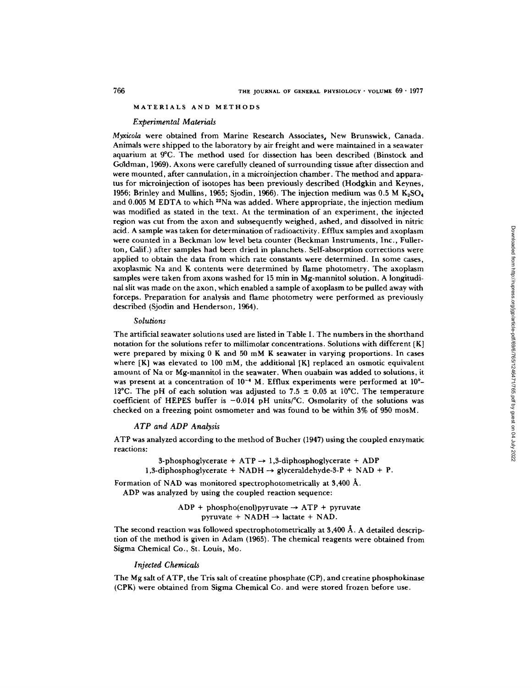## MATERIALS AND METHODS

#### *Experimental Materials*

*Myxicola* were obtained from Marine Research Associates, New Brunswick, Canada. Animals were shipped to the laboratory by air freight and were maintained in a seawater aquarium at 9°C. The method used for dissection has been described (Binstock and Goldman, 1969). Axons were carefully cleaned of surrounding tissue after dissection and were mounted, after cannulation, in a microinjection chamber. The method and apparatus for microinjection of isotopes has been previously described (Hodgkin and Keynes, 1956; Brinley and Mullins, 1965; Siodin, 1966). The injection medium was  $0.5 M K<sub>5</sub>SO<sub>4</sub>$ and 0.005 M EDTA to which  $^{22}$ Na was added. Where appropriate, the injection medium was modified as stated in the text. At the termination of an experiment, the injected region was cut from the axon and subsequently weighed, ashed, and dissolved in nitric acid. A sample was taken for determination of radioactivity. Efflux samples and axoplasm were counted in a Beckman low level beta counter (Beckman Instruments, Inc., Fullerton, Calif.) after samples had been dried in planchets. Self-absorption corrections were applied to obtain the data from which rate constants were determined. In some cases, axoplasmic Na and K contents were determined by flame photometry. The axoplasm samples were taken from axons washed for 15 min in Mg-mannitol solution. A longitudinal slit was made on the axon, which enabled a sample of axoplasm to be pulled away with forceps. Preparation for analysis and flame photometry were performed as previously described (Sjodin and Henderson, 1964).

#### *Solutions*

The artificial seawater solutions used are listed in Table I. The numbers in the shorthand notation for the solutions refer to millimolar concentrations. Solutions with different [K] were prepared by mixing 0 K and 50 mM K seawater in varying proportions. In cases where  $[K]$  was elevated to 100 mM, the additional  $[K]$  replaced an osmotic equivalent amount of Na or Mg-mannitol in the seawater. When ouabain was added to solutions, it was present at a concentration of  $10^{-4}$  M. Efflux experiments were performed at  $10^{\circ}$ -12°C. The pH of each solution was adjusted to 7.5  $\pm$  0.05 at 10°C. The temperature coefficient of HEPES buffer is  $-0.014$  pH units/ $\degree$ C. Osmolarity of the solutions was checked on a freezing point osmometer and was found to be within 3% of 950 mosM.

## *ATP and ADP Analysis*

ATP was analyzed according to the method of Bucher (1947) using the coupled enzymatic reactions:

> 3-phosphoglycerate +  $ATP \rightarrow 1,3$ -diphosphoglycerate + ADP 1.3-diphosphoglycerate + NADH  $\rightarrow$  glyceraldehyde-3-P + NAD + P.

Formation of NAD was monitored spectrophotometrically at  $3,400 \text{ Å}.$ 

ADP was analyzed by using the coupled reaction sequence:

 $ADP + phospho(enol)pyruvate \rightarrow ATP + pyruvate$ pyruvate +  $NADH \rightarrow$  lactate +  $NAD$ .

The second reaction was followed spectrophotometrically at  $3,400~\text{\AA}$ . A detailed description of the method is given in Adam (1965). The chemical reagents were obtained from Sigma Chemical Co., St. Louis, Mo.

#### *Injected Chemicals*

The Mg salt of ATP, the Tris salt of creatine phosphate (CP), and creatine phosphokinase (CPK) were obtained from Sigma Chemical Co. and were stored frozen before use.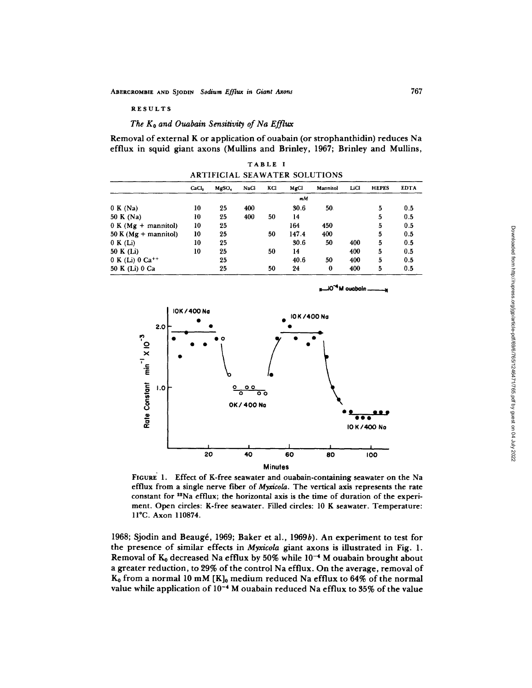RESULTS

## *The Ko and Ouabain Sensitivity of Na Efflux*

Removal of external K or application of ouabain (or strophanthidin) reduces Na efflux in squid giant axons (MuUins and Brinley, 1967; Brinley and Mullins,

TABLE I ARTIFICIAL SEAWATER SOLUTIONS

|                         | CaCl, | MgSO <sub>4</sub> | NaCl | KCI | MgCl  | Mannitol | LiCl | <b>HEPES</b> | <b>EDTA</b> |
|-------------------------|-------|-------------------|------|-----|-------|----------|------|--------------|-------------|
|                         |       |                   |      |     | mM    |          |      |              |             |
| 0 K(Na)                 | 10    | 25                | 400  |     | 30.6  | 50.      |      | 5            | 0.5         |
| 50 K (Na)               | 10    | 25                | 400  | 50  | 14    |          |      | 5            | 0.5         |
| $0 K(Mg + manifold)$    | 10    | 25                |      |     | 164   | 450      |      | 5            | 0.5         |
| 50 K ( $Mg +$ mannitol) | 10    | 25                |      | 50  | 147.4 | 400      |      | 5            | 0.5         |
| 0 K(Li)                 | 10    | 25                |      |     | 30.6  | 50       | 400  | 5            | 0.5         |
| 50 K (Li)               | 10    | 25                |      | 50  | 14    |          | 400  | 5            | 0.5         |
| $0 K$ (Li) $0 Ca^{++}$  |       | 25                |      |     | 40.6  | 50       | 400  | 5            | 0.5         |
| 50 K (Li) 0 Ca          |       | 25                |      | 50  | 24    | 0        | 400  | 5            | 0.5         |

 $^{\mathbf{6}}$ M ouabain .



Minutes FIGURE 1. Effect of K-free seawater and ouabain-containing seawater on the Na efflux from a single nerve fiber of *Myxicola.* The vertical axis represents the rate

constant for <sup>22</sup>Na efflux; the horizontal axis is the time of duration of the experiment. Open circles: K-free seawater. Filled circles: 10 K seawater. Temperature: ll°C. Axon 110874.

1968; Sjodin and Beaugé, 1969; Baker et al., 1969b). An experiment to test for the presence of similar effects in *Myxicola* giant axons is illustrated in Fig. 1. Removal of  $K_0$  decreased Na efflux by 50% while  $10^{-4}$  M ouabain brought about a greater reduction, to 29% of the control Na efflux. On the average, removal of  $K_0$  from a normal 10 mM  $[K]_0$  medium reduced Na efflux to 64% of the normal value while application of  $10^{-4}$  M ouabain reduced Na efflux to 35% of the value

Downloaded from http://rupress.org/igp/article-pdf/69/6/765/1246471/765.pdf by guest on 04 July 2022 Downloaded from http://rupress.org/jgp/article-pdf/69/6/765/1246471/765.pdf by guest on 04 July 2022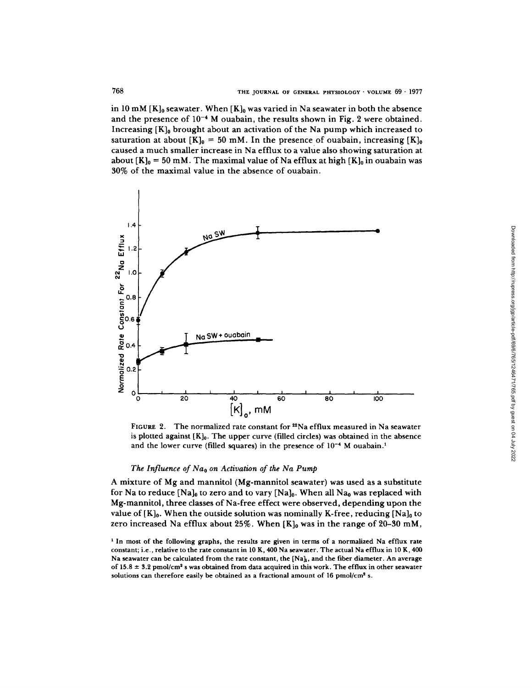in 10 mM  $[K]_0$  seawater. When  $[K]_0$  was varied in Na seawater in both the absence and the presence of  $10^{-4}$  M ouabain, the results shown in Fig. 2 were obtained. Increasing  $[K]_0$  brought about an activation of the Na pump which increased to saturation at about  $[K]_0 = 50$  mM. In the presence of ouabain, increasing  $[K]_0$ caused a much smaller increase in Na efflux to a value also showing saturation at about  $[K]_0 = 50$  mM. The maximal value of Na efflux at high  $[K]_0$  in ouabain was 30% of the maximal value in the absence of ouabain.



FIGURE 2. The normalized rate constant for  $2^2$ Na efflux measured in Na seawater is plotted against  $[K]_0$ . The upper curve (filled circles) was obtained in the absence and the lower curve (filled squares) in the presence of  $10^{-4}$  M ouabain.<sup>1</sup>

# *The Influence of Nao on Activation of the Na Pump*

A mixture of Mg and mannitol (Mg-mannitol seawater) was used as a substitute for Na to reduce [Na]<sub>0</sub> to zero and to vary [Na]<sub>0</sub>. When all Na<sub>0</sub> was replaced with Mg-mannitol, three classes of Na-free effect were observed, depending upon the value of  $[K]_0$ . When the outside solution was nominally K-free, reducing  $[Na]_0$  to zero increased Na efflux about 25%. When  $[K]_0$  was in the range of 20-30 mM,

<sup>&</sup>lt;sup>1</sup> In most of the following graphs, the results are given in terms of a normalized Na efflux rate constant; i.e., relative to the rate constant in 10 K, 400 Na seawater. The actual Na efflux in 10 K, 400 Na seawater can be calculated from the rate constant, the  $[Na]_l$ , and the fiber diameter. An average of  $15.8 \pm 3.2$  pmol/cm<sup>2</sup> s was obtained from data acquired in this work. The efflux in other seawater solutions can therefore easily be obtained as a fractional amount of 16 pmol/cm<sup>2</sup> s.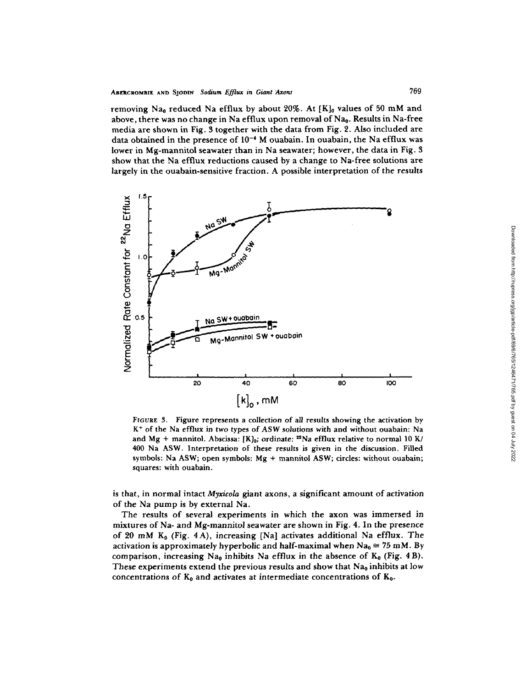removing Na<sub>0</sub> reduced Na efflux by about 20%. At  $\{K\}$ <sub>0</sub> values of 50 mM and above, there was no change in Na efflux upon removal of  $Na<sub>0</sub>$ . Results in Na-free media are shown in Fig. 3 together with the data from Fig. 2. Also included are data obtained in the presence of  $10^{-4}$  M ouabain. In ouabain, the Na efflux was lower in Mg-mannitol seawater than in Na seawater; however, the data in Fig. 3 show that the Na efflux reductions caused by a change to Na-free solutions are largely in the ouabain-sensitive fraction. A possible interpretation of the results



FIGURE 3. Figure represents a collection of all results showing the activation by K + of the Na efflux in two types of ASW *solutions* with and without ouabain: Na and Mg + mannitol. Abscissa: [K]<sub>0</sub>; ordinate: <sup>22</sup>Na efflux relative to normal 10 K/ 400 Na ASW. Interpretation of these results is given in the discussion. Filled symbols: Na ASW; open symbols: Mg + mannitol ASW; circles: without ouabain; squares: with ouabain.

is that, in normal intact *Myxicola* giant axons, a significant amount of activation of the Na pump is by external Na.

The results of several experiments in which the axon was immersed in mixtures of Na- and Mg-mannitol seawater are shown in Fig. 4. In the presence of 20 mM  $K_0$  (Fig. 4A), increasing [Na] activates additional Na efflux. The activation is approximately hyperbolic and half-maximal when  $Na_0 \approx 75$  mM. By comparison, increasing Na<sub>0</sub> inhibits Na efflux in the absence of  $K_0$  (Fig. 4B). These experiments extend the previous results and show that Na<sub>0</sub> inhibits at low concentrations of  $K_0$  and activates at intermediate concentrations of  $K_0$ .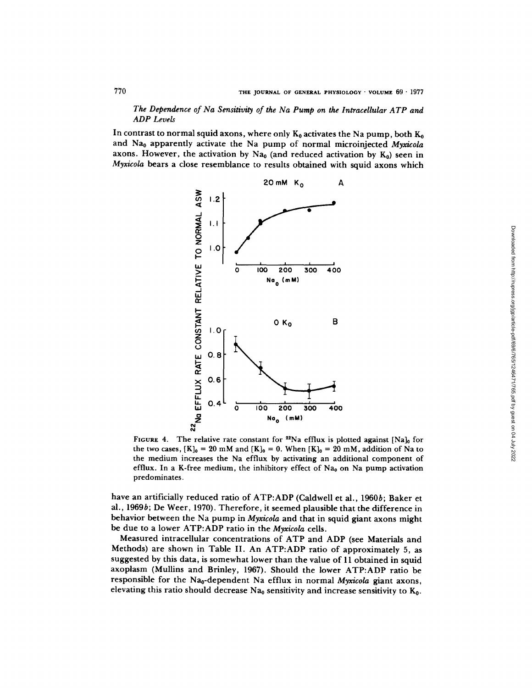*The Dependence of Na Sensitivity of the Na Pump on the Intracellular ATP and ADP Levels* 

In contrast to normal squid axons, where only  $K_0$  activates the Na pump, both  $K_0$ and Na0 apparently activate the Na pump of normal microinjected *Myxicola*  axons. However, the activation by Na<sub>0</sub> (and reduced activation by  $K_0$ ) seen in *Myxicola* bears a close resemblance to results obtained with squid axons which



FIGURE 4. The relative rate constant for  $22$ Na efflux is plotted against [Na]<sub>0</sub> for the two cases,  $[K]_0 = 20$  mM and  $[K]_0 = 0$ . When  $[K]_0 = 20$  mM, addition of Na to the medium increases the Na efflux by activating an additional component of efflux. In a K-free medium, the inhibitory effect of Na<sub>0</sub> on Na pump activation predominates.

have an artificially reduced ratio of ATP:ADP (Caldwell et al., 1960b; Baker et al., 1969b; De Weer, 1970). Therefore, it seemed plausible that the difference in behavior between the Na pump in *Myxicola* and that in squid giant axons might be due to a lower ATP:ADP ratio in the *Myxicola* cells.

Measured intracellular concentrations of ATP and ADP (see Materials and Methods) are shown in Table II. An ATP:ADP ratio of approximately 5, as suggested by this data, is somewhat lower than the value of 11 obtained in squid axoplasm (Mullins and Brinley, 1967). Should the lower ATP:ADP ratio be responsible for the Na<sub>0</sub>-dependent Na efflux in normal *Myxicola* giant axons, elevating this ratio should decrease Na<sub>0</sub> sensitivity and increase sensitivity to  $K_0$ .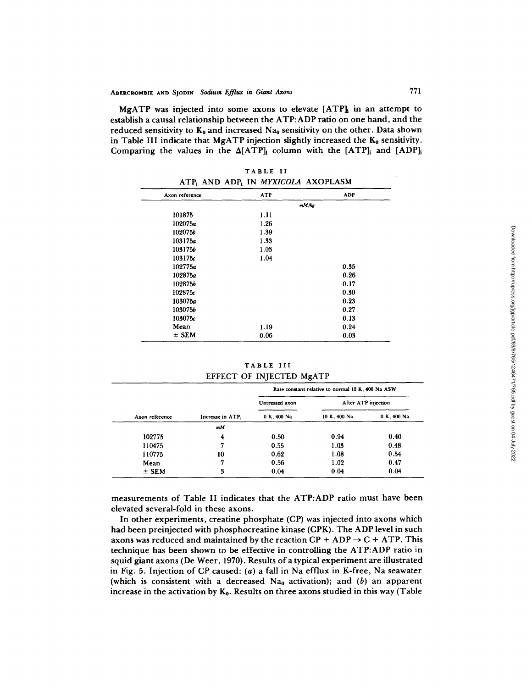MgATP was injected into some axons to elevate  $[ATP]_1$  in an attempt to establish a causal relationship between the ATP:ADP ratio on one hand, and the reduced sensitivity to  $K_0$  and increased  $Na_0$  sensitivity on the other. Data shown in Table III indicate that MgATP injection slightly increased the  $K_0$  sensitivity. Comparing the values in the  $\Delta[ATP]_i$  column with the  $[ATP]_i$  and  $[ADP]_i$ 

|  | TABLE II |                                                                   |
|--|----------|-------------------------------------------------------------------|
|  |          | ATP <sub>i</sub> AND ADP <sub>i</sub> IN <i>MYXICOLA</i> AXOPLASM |

| Axon reference | <b>ATP</b> | <b>ADP</b> |
|----------------|------------|------------|
|                |            | mM/kg      |
| 101875         | 1.11       |            |
| 102075a        | 1.26       |            |
| 1020756        | 1.39       |            |
| 103175a        | 1.33       |            |
| 1031756        | 1.03       |            |
| 103175c        | 1.04       |            |
| 102775a        |            | 0.35       |
| 102875a        |            | 0.26       |
| 102875b        |            | 0.17       |
| 102875c        |            | 0.30       |
| 103075a        |            | 0.23       |
| 103075b        |            | 0.27       |
| 103075c        |            | 0.13       |
| Mean           | 1.19       | 0.24       |
| $±$ SEM        | 0.06       | 0.03       |

TABLE III EFFECT OF INJECTED MgATP

|                |                  | Rate constant relative to normal 10 K, 400 Na ASW |                     |             |  |  |
|----------------|------------------|---------------------------------------------------|---------------------|-------------|--|--|
|                |                  | Untreated axon                                    | After ATP injection |             |  |  |
| Axon reference | Increase in ATP. | 0 K. 400 Na                                       | 10 K, 400 Na        | 0 K, 400 Na |  |  |
|                | m/M              |                                                   |                     |             |  |  |
| 102775         | 4                | 0.50                                              | 0.94                | 0.40        |  |  |
| 110475         | 7                | 0.55                                              | 1.03                | 0.48        |  |  |
| 110775         | 10               | 0.62                                              | 1.08                | 0.54        |  |  |
| Mean           | 7                | 0.56                                              | 1.02                | 0.47        |  |  |
| $\pm$ SEM      | 3                | 0.04                                              | 0.04                | 0.04        |  |  |

measurements of Table II indicates that the ATP:ADP ratio must have been elevated several-fold in these axons.

In other experiments, creatine phosphate (CP) was injected into axons which had been preinjected with phosphocreatine kinase (CPK). The ADP level in such axons was reduced and maintained by the reaction  $CP + ADP \rightarrow C + ATP$ . This technique has been shown to be effective in controlling the ATP:ADP ratio in squid giant axons (De Weer, 1970). Results of a typical experiment are illustrated in Fig. 5. Injection of CP caused: (a) a fall in Na efflux in K-free, Na seawater (which is consistent with a decreased  $Na<sub>0</sub>$  activation); and (b) an apparent increase in the activation by  $K_0$ . Results on three axons studied in this way (Table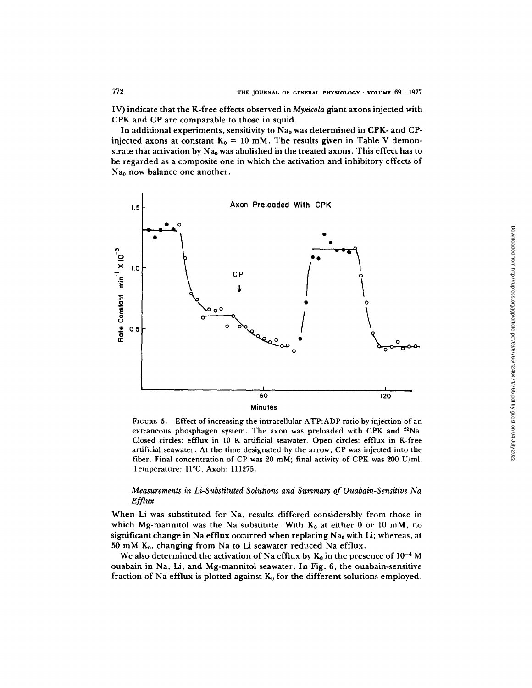IV) indicate that the K-free effects observed in *Myxicola* giant axons injected with CPK and CP are comparable to those in squid.

In additional experiments, sensitivity to  $Na<sub>0</sub>$  was determined in CPK- and CPinjected axons at constant  $K_0 = 10$  mM. The results given in Table V demonstrate that activation by  $Na<sub>0</sub>$  was abolished in the treated axons. This effect has to be regarded as a composite one in which the activation and inhibitory effects of  $Na<sub>0</sub>$  now balance one another.



FIGURE 5. Effect of increasing the intracellular ATP:ADP ratio by injection of an extraneous phosphagen system. The axon was preloaded with CPK and <sup>22</sup>Na. Closed circles: effiux in 10 K artificial seawater. Open circles: efflux in K-free artificial seawater. At the time designated by the arrow, CP was injected into the fiber. Final concentration of CP was 20 mM; final activity of CPK was 200 U/ml. Temperature: 11°C. Axon: 111275.

# *Measurements in Li-Substituted Solutions and Summary of Ouabain-Sensitive Na Efflux*

When Li was substituted for Na, results differed considerably from those in which Mg-mannitol was the Na substitute. With  $K_0$  at either 0 or 10 mM, no significant change in Na efflux occurred when replacing  $Na<sub>0</sub>$  with Li; whereas, at 50 mM  $K_0$ , changing from Na to Li seawater reduced Na efflux.

We also determined the activation of Na efflux by  $K_0$  in the presence of  $10^{-4}$  M ouabain in Na, Li, and Mg-mannitol seawater. In Fig. 6, the ouabain-sensitive fraction of Na efflux is plotted against  $K_0$  for the different solutions employed.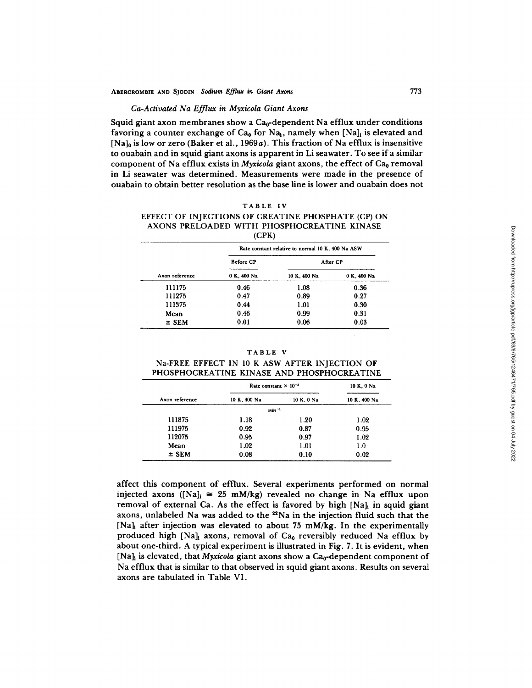#### *Ca-Activated Na Efflux in Myxicola Giant Axons*

Squid giant axon membranes show a  $Ca<sub>0</sub>$ -dependent Na efflux under conditions favoring a counter exchange of Ca<sub>0</sub> for Na<sub>1</sub>, namely when [Na]<sub>i</sub> is elevated and  $[Na]_0$  is low or zero (Baker et al., 1969a). This fraction of Na efflux is insensitive to ouabain and in squid giant axons is apparent in Li seawater. To see if a similar component of Na efflux exists in *Myxicola* giant axons, the effect of Ca<sub>0</sub> removal in Li seawater was determined. Measurements were made in the presence of ouabain to obtain better resolution as the base line is lower and ouabain does not

## TABLE IV

## EFFECT OF INJECTIONS OF CREATINE PHOSPHATE (CP) ON AXONS PRELOADED WITH PHOSPHOCREATINE KINASE (CPK)

|                | Rate constant relative to normal 10 K, 400 Na ASW |              |             |  |  |  |
|----------------|---------------------------------------------------|--------------|-------------|--|--|--|
|                | <b>Before CP</b>                                  | After CP     |             |  |  |  |
| Axon reference | 0 K, 400 Na                                       | 10 K, 400 Na | 0 K, 400 Na |  |  |  |
| 111175         | 0.46                                              | 1.08         | 0.36        |  |  |  |
| 111275         | 0.47                                              | 0.89         | 0.27        |  |  |  |
| 111375         | 0.44                                              | 1.01         | 0.30        |  |  |  |
| Mean           | 0.46                                              | 0.99         | 0.31        |  |  |  |
| $\pm$ SEM      | 0.01                                              | 0.06         | 0.03        |  |  |  |

TABLE V

|  |  |  | Na-FREE EFFECT IN 10 K ASW AFTER INJECTION OF |  |
|--|--|--|-----------------------------------------------|--|
|  |  |  | PHOSPHOCREATINE KINASE AND PHOSPHOCREATINE    |  |

|                | Rate constant $\times$ 10 <sup>-3</sup> | 10 K, 0 Na |              |
|----------------|-----------------------------------------|------------|--------------|
| Axon reference | 10 K, 400 Na                            | 10 K, 0 Na | 10 K, 400 Na |
|                | $min-1$                                 |            |              |
| 111875         | 1.18                                    | 1.20       | 1.02         |
| 111975         | 0.92                                    | 0.87       | 0.95         |
| 112075         | 0.95                                    | 0.97       | 1.02         |
| Mean           | 1.02                                    | 1.01       | 1.0          |
| $\pm$ SEM      | 0.08                                    | 0.10       | 0.02         |

affect this component of efflux. Several experiments performed on normal injected axons ([Na]<sub>i</sub>  $\cong$  25 mM/kg) revealed no change in Na efflux upon removal of external Ca. As the effect is favored by high  $[Na]_t$  in squid giant axons, unlabeled Na was added to the <sup>22</sup>Na in the injection fluid such that the  $[Na]_i$  after injection was elevated to about 75 mM/kg. In the experimentally produced high [Na]<sub>i</sub> axons, removal of Ca<sub>0</sub> reversibly reduced Na efflux by about one-third. A typical experiment is illustrated in Fig. 7. It is evident, when [Na]<sub>t</sub> is elevated, that *Myxicola* giant axons show a Ca<sub>0</sub>-dependent component of Na efflux that is similar to that observed in squid giant axons. Results on several axons are tabulated in Table VI.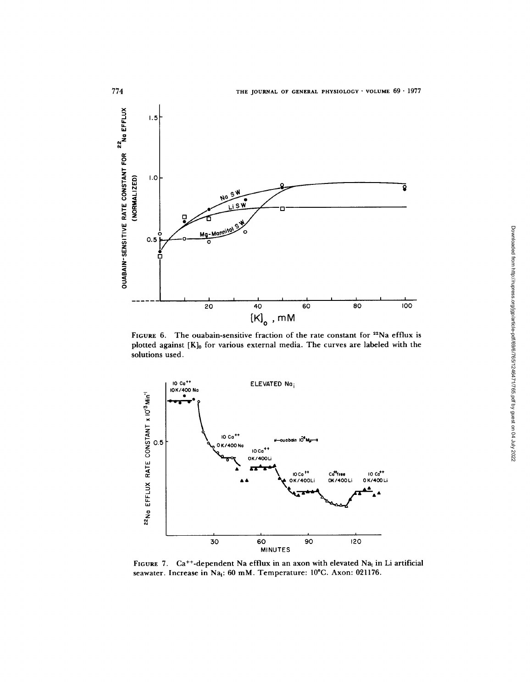

FIGURE 6. The ouabain-sensitive fraction of the rate constant for <sup>22</sup>Na efflux is plotted against [K]<sub>0</sub> for various external media. The curves are labeled with the **solutions used.** 



FIGURE 7. Ca<sup>++</sup>-dependent Na efflux in an axon with elevated Na<sub>i</sub> in Li artificial seawater. Increase in Na<sub>i</sub>: 60 mM. Temperature: 10°C. Axon: 021176.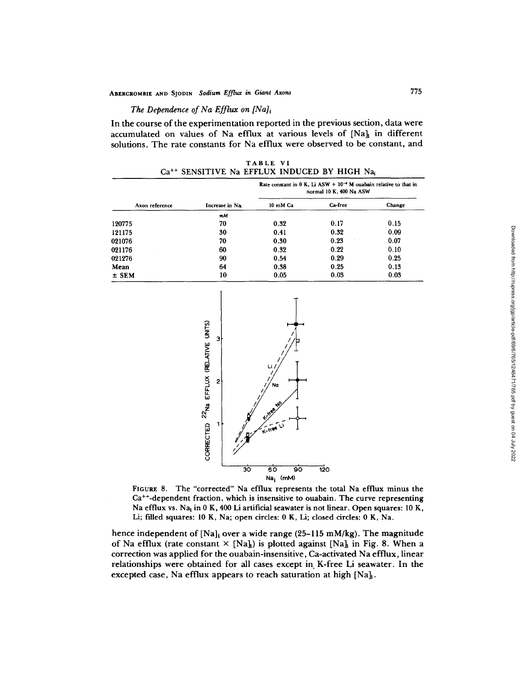# *The Dependence of Na Efflux on [Na]*<sup>*i*</sup>

<u>ង</u>

a **Ld**  I-- U

 $\mathsf{\overline{g}}$ 

**In the course of the experimentation reported in the previous section, data were**  accumulated on values of Na efflux at various levels of [Na]<sub>1</sub> in different solutions. **The rate constants for Na efflux were observed to be constant, and** 

> **TABLE** VI Ca<sup>++</sup> SENSITIVE Na EFFLUX INDUCED BY HIGH Na

| Axon reference |                | Rate constant in 0 K, Li ASW + $10^{-4}$ M ouabain relative to that in<br>normal 10 K, 400 Na ASW |         |        |  |  |
|----------------|----------------|---------------------------------------------------------------------------------------------------|---------|--------|--|--|
|                | Increase in Na | 10 mM Ca                                                                                          | Ca-free | Change |  |  |
|                | mM             |                                                                                                   |         |        |  |  |
| 120775         | 70             | 0.32                                                                                              | 0.17    | 0.15   |  |  |
| 121175         | 30             | 0.41                                                                                              | 0.32    | 0.09   |  |  |
| 021076         | 70             | 0.30                                                                                              | 0.23    | 0.07   |  |  |
| 021176         | 60             | 0.32                                                                                              | 0.22    | 0.10   |  |  |
| 021276         | 90             | 0.54                                                                                              | 0.29    | 0.25   |  |  |
| Mean           | 64             | 0.38                                                                                              | 0.25    | 0.13   |  |  |
| $±$ SEM        | 10             | 0.05                                                                                              | 0.03    | 0.03   |  |  |



 $\frac{1}{2}$ 

**FIGURE 8. The "corrected" Na efflux represents the total Na efflux minus the Ca++-dependent fraction, which is insensitive to ouabain. The curve representing Na efflux vs. Nai in 0 K, 400 Li artificial seawater is not linear. Open squares: 10 K, Li; filled squares: 10 K, Na; open circles: 0 K, Li; closed circles: 0 K, Na.** 

**3b 6b 9b Na i** (raM)

\_\_<br>120

**hence independent of [Nail over a wide range (25-115 mM/kg). The magnitude**  of Na efflux (rate constant  $\times$  [Na<sub>h</sub>] is plotted against [Na<sub>h</sub> in Fig. 8. When a correction was applied for the ouabain-insensitive, Ca-activated Na efflux, linear **relationships were obtained for all cases except in K-free Li seawater. In the**  excepted case, Na efflux appears to reach saturation at high [Na]<sub>1</sub>.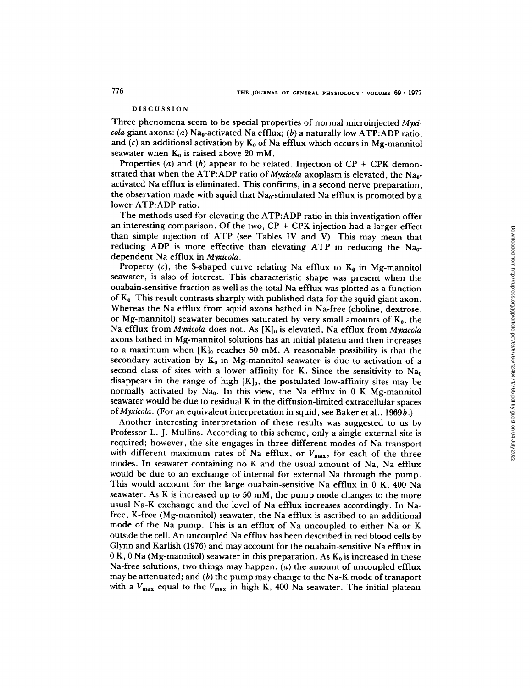## DISCUSSION

Three phenomena seem to be special properties of normal microinjected *Myxicola* giant axons: (a)  $Na<sub>0</sub>$ -activated Na efflux; (b) a naturally low ATP:ADP ratio: and (c) an additional activation by  $K_0$  of Na efflux which occurs in Mg-mannitol seawater when  $K_0$  is raised above 20 mM.

Properties (a) and (b) appear to be related. Injection of  $CP + CPK$  demonstrated that when the ATP:ADP ratio of *Myxicola* axoplasm is elevated, the Na<sub>0</sub>activated Na efflux is eliminated. This confirms, in a second nerve preparation, the observation made with squid that  $Na_0$ -stimulated Na efflux is promoted by a lower ATP:ADP ratio.

The methods used for elevating the ATP:ADP ratio in this investigation offer an interesting comparison. Of the two,  $\text{CP} + \text{CPK}$  injection had a larger effect than simple injection of ATP (see Tables IV and V). This may mean that reducing ADP is more effective than elevating ATP in reducing the  $Na<sub>0</sub>$ dependent Na efflux in *Myxicola.* 

Property (c), the S-shaped curve relating Na efflux to  $K_0$  in Mg-mannitol seawater, is also of interest. This characteristic shape was present when the ouabain-sensitive fraction as well as the total Na efflux was plotted as a function of  $K_0$ . This result contrasts sharply with published data for the squid giant axon. Whereas the Na efflux from squid axons bathed in Na-free (choline, dextrose, or Mg-mannitol) seawater becomes saturated by very small amounts of  $K_0$ , the Na efflux from *Myxicola* does not. As [K]<sub>0</sub> is elevated, Na efflux from *Myxicola* axons bathed in Mg-mannitol solutions has an initial plateau and then increases to a maximum when  $[K]_0$  reaches 50 mM. A reasonable possibility is that the secondary activation by  $K_0$  in Mg-mannitol seawater is due to activation of a second class of sites with a lower affinity for K. Since the sensitivity to  $Na<sub>0</sub>$ disappears in the range of high  $[K]_0$ , the postulated low-affinity sites may be normally activated by Na<sub>0</sub>. In this view, the Na efflux in  $0$  K Mg-mannitol seawater would be due to residual K in the diffusion-limited extracellular spaces *of Myxicola.* (For an equivalent interpretation in squid, see Baker et al., 1969b.)

Another interesting interpretation of these results was suggested to us by Professor L. J. Mullins. According to this scheme, only a single external site is required; however, the site engages in three different modes of Na transport with different maximum rates of Na efflux, or  $V_{\text{max}}$ , for each of the three modes. In seawater containing no K and the usual amount of Na, Na efflux would be due to an exchange of internal for external Na through the pump. This would account for the large ouabain-sensitive Na efflux in 0 K, 400 Na seawater. As K is increased up to 50 mM, the pump mode changes to the more usual Na-K exchange and the level of Na efflux increases accordingly. In Nafree, K-free (Mg-mannitol) seawater, the Na efflux is ascribed to an additional mode of the Na pump. This is an efflux of Na uncoupled to either Na or K outside the cell. An uncoupled Na efflux has been described in red blood cells by Glynn and Karlish (1976) and may account for the ouabain-sensitive Na efflux in  $0 K$ ,  $0 Na$  (Mg-mannitol) seawater in this preparation. As  $K_0$  is increased in these Na-free solutions, two things may happen: (a) the amount of uncoupled efflux may be attenuated; and  $(b)$  the pump may change to the Na-K mode of transport with a  $V_{\text{max}}$  equal to the  $V_{\text{max}}$  in high K, 400 Na seawater. The initial plateau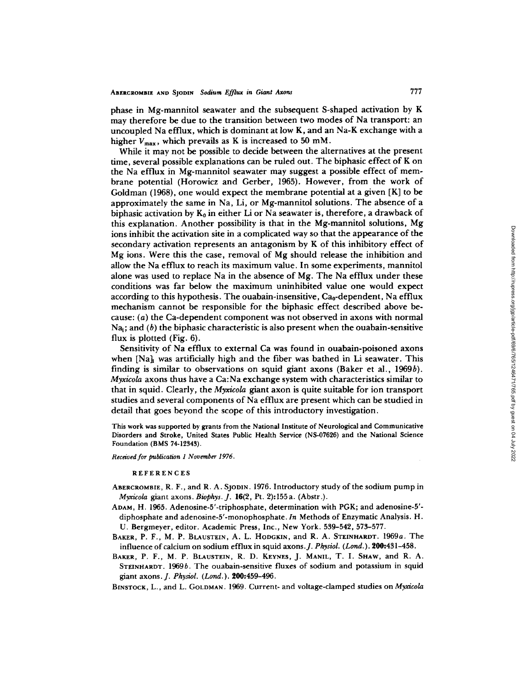phase in Mg-mannitol seawater and the subsequent S-shaped activation by K may therefore be due to the transition between two modes of Na transport: an uncoupled Na efflux, which is dominant at low K, and an Na-K exchange with a higher  $V_{\text{max}}$ , which prevails as K is increased to 50 mM.

While it may not be possible to decide between the alternatives at the present time, several possible explanations can be ruled out. The biphasic effect of K on the Na efflux in Mg-mannitol seawater may suggest a possible effect of membrane potential (Horowicz and Gerber, 1965). However, from the work of Goldman (1968), one would expect the membrane potential at a given  $[K]$  to be approximately the same in Na, Li, or Mg-mannitol solutions. The absence of a biphasic activation by  $K_0$  in either Li or Na seawater is, therefore, a drawback of this explanation. Another possibility is that in the Mg-mannitol solutions, Mg ions inhibit the activation site in a complicated way so that the appearance of the secondary activation represents an antagonism by K of this inhibitory effect of Mg ions. Were this the case, removal of Mg should release the inhibition and allow the Na efflux to reach its maximum value. In some experiments, mannitol alone was used to replace Na in the absence of  $Mg$ . The Na efflux under these conditions was far below the maximum uninhibited value one would expect according to this hypothesis. The ouabain-insensitive,  $Ca<sub>0</sub>$ -dependent, Na efflux mechanism cannot be responsible for the biphasic effect described above because: (a) the Ca-dependent component was not observed in axons with normal  $Na<sub>i</sub>$ ; and (b) the biphasic characteristic is also present when the ouabain-sensitive flux is plotted (Fig. 6).

Sensitivity of Na efflux to external Ca was found in ouabain-poisoned axons when  $[Na]_i$  was artificially high and the fiber was bathed in Li seawater. This finding is similar to observations on squid giant axons (Baker et al., 1969b). *Myxicola* axons thus have a Ca:Na exchange system with characteristics similar to that in squid. Clearly, the *Myxicola* giant axon is quite suitable for ion transport studies and several components of Na efflux are present which can be studied in detail that goes beyond the scope of this introductory investigation.

This work was supported by grants from the National Institute of Neurological and Communicative Disorders and Stroke, United States Public Health Service (NS-07626) and the National Science Foundation (BMS 74-12343).

*Received for publication 1 November 1976.* 

#### REFERENCES

- ABERCROMBIE, R. F., and R. A. SJODIN. 1976. Introductory study of the sodium pump in *Myxicola* giant axons. *Biophys. J.* 16(2, Pt. 2):155a. (Abstr.).
- ADAM, H. 1965. Adenosine-5'-triphosphate, determination with PGK; and adenosine-5' diphosphate and adenosine-5'-monophosphate. *In* Methods of Enzymatic Analysis. H. U. Bergmeyer, editor. Academic Press, Inc., New York. 539-542, 573-577.
- BAKER, P. F., M. P. BLAUSTEIN, A. L. HODGKIN, and R. A. STEINHARDT. 1969a. The influence of calcium on sodium efflux in squid axons.J. *Physiol. (Lond.).* 200:431-458.
- BAKER, P. F., M. P. BLAUSTEIN, R. D. KEYNES, J. MANIL, T. I. SHAW, and R. A. STEINHARDT. 1969b. The ouabain-sensitive fluxes of sodium and potassium in squid giant axons. *J. Physiol. (Lond. ).* 200:459-496.
- BINSTOCK, L., and L. GOLDMAN. 1969. Current- and voltage-clamped studies on *Myxicola*